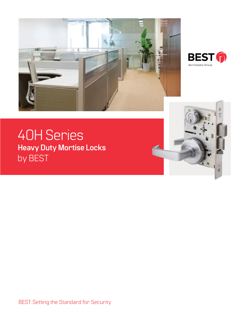



# 40H Series **Heavy Duty Mortise Locks** by BEST



BEST: Setting the Standard for Security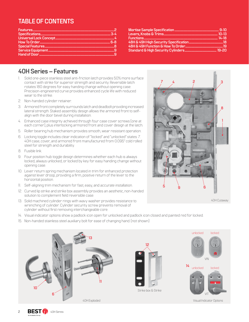# **TABLE OF CONTENTS**

| $10-13$ |
|---------|
|         |
|         |
|         |
|         |

# **40H Series – Features**

- 1. Solid one-piece stainless steel anti-friction latch provides 50% more surface contact with strike for superior strength and security. Reversible latch rotates 180 degrees for easy handing change without opening case. Precision-engineered curve provides enhanced cycle life with reduced wear to the strike.
- 2. Non-handed cylinder retainer.
- 3. Armored front completely surrounds latch and deadbolt providing increased lateral strength. Staked assembly design allows the armored front to selfalign with the door bevel during installation.
- 4. Enhanced case integrity achieved through four case cover screws (one at each corner), plus interlocking armored front and cover design at the latch.
- 5. Roller bearing hub mechanism provides smooth, wear resistant operation.
- 6. Locking toggle includes clear indication of "locked" and "unlocked" states. 7. 40H case, cover, and armored front manufactured from 0.095" cold rolled steel for strength and durability.
- 8. Fusible link.
- 9. Four position hub toggle design determines whether each hub is always locked, always unlocked, or locked by key for easy handing change without opening case.
- 10. Lever return spring mechanism located in trim for enhanced protection against lever droop, providing a firm, positive return of the lever to the horizontal position.
- 11. Self-aligning trim mechanism for fast, easy, and accurate installation.
- 12. Curved lip strike and strike box assembly provides an aesthetic, non-handed solution to complement field reversible case.
- 13. Solid machined cylinder rings with wavy washer provides resistance to wrenching of cylinder. Cylinder security screw prevents removal of cylinder without first removing interchangeable core.
- 14. Visual indicator options show a padlock icon open for unlocked and padlock icon closed and painted red for locked.
- 15. Non-handed stainless steel auxiliary bolt for ease of changing hand. (not shown)





40H Cutaway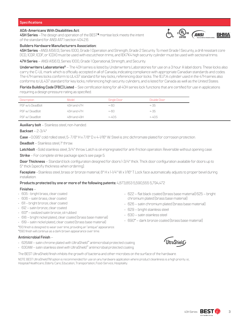### **ADA-Americans With Disabilities Act:**

**45H Series** –The design and operation of the BEST® mortise lock meets the intent of the standard for ANSI A117.1 section 404.2.6.



**45H Series** –ANSI A156.13, Series 1000, Grade 1 Operation and Strength, Grade 2 Security. To meet Grade 1 Security, a drill resistant core (1CD, 1CDP, 1CDF, or 1CDX) must be used with escutcheon trims, and 1EK7K4 high security cylinder must be used with sectional trims.

**47H Series** – ANSI A156.13, Series 1000, Grade 1 Operational, Strength, and Security.

**Underwriters Laboratories®** – The 40H series is listed by Underwriters Laboratories for use on a 3 hour A label doors. These locks also carry the C-UL mark which is officially accepted in all of Canada, indicating compliance with appropriate Canadian standards and codes. The 47H series locks conform to UL437 standard for key locks, referencing door locks. The 1EJ7J4 cylinder used in the 47H series also conforms to UL437 standard for key locks, referencing high security cylinders, and is listed for Canada as well as the United States.

**Florida Building Code (FBC) Listed** – See certification listing for all 40H series lock functions that are certified for use in applications requiring a design pressure rating as specified.

| Description      | Model       | Single Door | Double Door |
|------------------|-------------|-------------|-------------|
| PSF w/o DeadBolt | 45H and 47H | $+ - 60$    | +-35        |
| PSF w/DeadBolt   | 45H and 47H | $+ - 60$    | $+ - 35$    |
| PSF w/DeadBolt   | 48H and 49H | $+ -405$    | $+ -405$    |

**Auxiliary bolt** – Stainless steel, non-handed.

**Backset** – 2-3/4"

**Case** –0.095" cold rolled steel, 5- 7/8" H x 7/8" D x 4-1/16" W. Steel is zinc dichromate plated for corrosion protection.

**Deadbolt** – Stainless steel, I" throw.

**Latchbolt** –Solid stainless steel, 3/4" throw. Latch is oil-impregnated for anti-friction operation. Reversible without opening case.

**Strike** – For complete strike package spec's see page 5.

**Door Thickness** – Standard lock configuration designed for doors 1-3/4" thick. Thick door configuration available for doors up to 5" thick (specify thickness when ordering).

**Faceplate** –Stainless steel, brass or bronze material, 8" H x 1-1/4" W x 1/16" T. Lock face automatically adjusts to proper bevel during installation.

**Products protected by one or more of the following patents:** 4,873,853 5,590,555 5,794,472

### **Finishes** –

- 605 bright brass, clear coated
- 606 satin brass, clear coated
- 611 bright bronze, clear coated
- 612 satin bronze, clear coated
- 613\* oxidized satin bronze, oil rubbed
- 618 bright nickel plated, clear coated (brass base material)
- 619 satin nickel plated, clear coated (brass base material)

\*613 finish is designed to wear over time, providing an "antique" appearance. \*690 finish will continue as a dark brown appearance over time.

### **Antimicrobial Finish** –

- 626AM satin chrome plated with UltraShield™ antimicrobial protected coating
- 630AM satin stainless steel with UltraShield™ antimicrobial protected coating
- The BEST UltraShield finish inhibits the growth of bacteria and other microbes on the surface of the hardware.

NOTE: BEST UltraShieldTM option is recommended for use on any hardware application where product cleanliness is a high priority. i.e;. Hospital/Healthcare, Elderly Care, Education, Transportation, Food-Service, Hospitality.

• 622 – flat black coated (brass base material) 625 – bright chromium plated (brass base material)

 $c$ <sup>(U</sup>L)<sub>us</sub>

**ANSI** 

**BHMA** 

- 626 satin chromium plated (brass base material)
- 629 bright stainless steel
- 630 satin stainless steel
- 690\* dark bronze coated (brass base material)



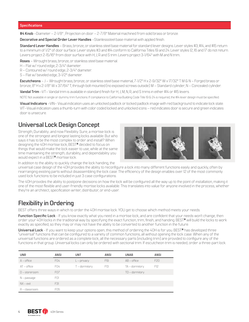### **Specifications**

**#4 Knob** –Diameter – 2-1/8" ; Projection on door – 2-7/8" Material machined from solid brass or bronze.

**Decorative and Special Order Lever Handles** –Stainlesssteel base material with applied finish.

**Standard Lever Handles** – Brass, bronze, or stainless steel base material for standard lever designs. Lever styles #3, #14, and #15 return to a minimum of 1/2" of door surface. Lever styles #3 and #14 conform to California Titles 19 and 24. Lever styles 12, 16 and 17 do not return. Levers project 2-15/16" from door surface with H, J, R and S trim. Levers project 3-1/64" with M and N trim..

**Roses** – Wrought brass, bronze, or stainless steel base material.

- H Flat w/ round edge, 2-3/4" diameter.
- R Contoured w/ round edge, 2-3/4" diameter.
- S Flat w/ beveled edge, 3-1/2" diameter.

**Escutcheons** – J – Wrought brass, bronze, or stainless steel base material, 7-1/2" H x 2-9/32" W x 17/32" T. M & N – Forged brass or bronze, 8" H x 2-1/8" W x 37/64" T, through bolt mounted (no exposed screws outside). M – Standard cylinder; N – Concealed cylinder.

**Vandal Trim** –VT– Vandal trim is available in standard finish for H, J, M, N, R, and S trims in either #14 or #15 levers.

NOTE: Not available in single or dummy trim functions. If compliance to California Building Code Title 19 & 24 is required, the #14 lever design must be specified.

**Visual Indicators** –VIN– Visual indication uses an unlocked padlock or locked padlock image with red background to indicate lock state. VIT–Visual indication uses a thumb-turn with color coded locked and unlocked icons – red indicates door is secure and green indicates door is unsecure.

# **Universal Lock Design Concept**

Strength, Durability…and now Flexibility. Sure, a mortise lock is one of the strongest and longest lasting locks available. But who says it has to be the most complex to order and install? When designing the 40H mortise lock, BEST® decided to focus on things that would make the lock easier to use, while at the same time maintaining the strength, durability, and dependability you would expect in a BEST® mortise lock.



In addition to the ability to quickly change the lock handing, the

universal case design of the 40H provides the ability to reconfigure a lock into many different functions easily and quickly, often by rearranging existing parts without disassembling the lock case. The efficiency of the design enables over 12 of the most commonly used lock functions to be included in just 3 case configurations.

The 40H provides the ability to postpone decisions on how the lock will be configured all the way up to the point of installation, making it one of the most flexible and user-friendly mortise locks available. This translates into value for anyone involved in the process, whether they're an architect, specification writer, distributor, or end-user.

# **Flexibility in Ordering**

BEST offers three ways in which to order the 40H mortise lock. YOU get to choose which method meets your needs.

**Function Specific Lock** - If you know exactly what you need in a mortise lock, and are confident that your needs won't change, then order your 40H locks in the traditional way by specifying the exact function, trim, finish, and handing. BEST® will build the locks to work exactly as specified, so they may or may not have the ability to be converted to another function in the future.

**Universal Lock** - If you want to keep your options open, this method of ordering the 40H is for you. BEST® has developed three "universal" functions that can be configured to a variety of common functions, all without opening the lock case. When any of the universal functions are ordered as a complete lock, all the necessary parts (including trim) are provided to configure any of the functions in that group. Universal locks can only be ordered with sectional trim. If escutcheon trim is needed, order a three-part lock.

| <b>UNR</b>      | <b>ANSI</b>     | <b>UNT</b>      | <b>ANSI</b>     | <b>UNAB</b>      | <b>ANSI</b> |
|-----------------|-----------------|-----------------|-----------------|------------------|-------------|
| $A$ – office    | FO4             | $L$ – privacy   | F <sub>19</sub> | $AB - of$        | F20         |
| $AT - of fice$  | F <sub>04</sub> | $T$ – dormitory | F13             | $TA$ – dormitory | F12         |
| $D$ – storeroom | <b>F07</b>      |                 |                 | $TD$ – dormitory |             |
| $N - p$ assage  | F01             |                 |                 |                  |             |
| $NX - exit$     | F31             |                 |                 |                  |             |
| $R - classroom$ | F <sub>05</sub> |                 |                 |                  |             |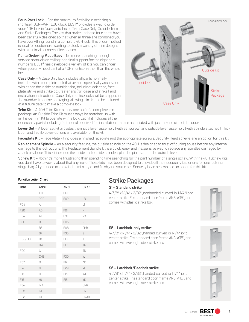**Four-Part Lock** – For the maximum flexibility in ordering a mortise FOUR-PART LOCK lock, BEST® provides a way to order your 40H lock in four parts: Inside Trim, Case Only, Outside Trim and Strike Packages. The kits that make up these four parts have been carefully designed so that when all three are combined you have everything found in a complete 40H lock. This order method is ideal for customers wanting to stock a variety of trim designs with a minimal number of lock cases.

**Parts Ordering Made Easy** – No more searching through service manuals or calling technical support for the right part numbers. BEST® has developed a variety of kits you can order when you only need part of a 40H mortise, rather than the whole lock.

**Case Only** – A Case Only lock includes all parts normally included with a complete lock that are not specifically associated with either the inside or outside trim, including: lock case, face plate, strike and strike box, fasteners (for case and strike), and installation instructions. Case Only mortise locks will be shipped in the standard mortise packaging, allowing trim kits to be included at a future date to make a complete lock.

**Trim Kit** – A 40H Trim Kit is simply one half of a complete trim package. An Outside Trim Kit must always be matched up with an Inside Trim Kit to operate with a lock. Each kit includes all the



necessary parts (including fasteners) required for installation that are associated with just the one side of the door.

**Lever Set** – A lever set kit provides the inside lever assembly (with set screw) and outside lever assembly (with spindle attached). Thick Door and Tactile Lever options are available for this kit.

Faceplate Kit – Face Plate kit includes a finished faceplate and the appropriate screws. Security Head screws are an option for this kit.

**Replacement Spindle** – As a security feature, the outside spindle on the 40H is designed to twist off during abuse before any internal damage to the lock occurs. The Replacement Spindle kit is a quick, easy, and inexpensive way to replace any spindles damaged by attack or abuse. This kit includes the inside and outside spindles, plus the pin to attach the outside lever.

**Screw Kit** – Nothing's more frustrating than spending time searching for the part number of a single screw. With the 40H Screw Kits, you don't have to worry about that anymore. These kits have been designed to provide all the necessary fasteners for one lock in a single bag. All you need to know is the trim style and finish, and you're set. Security head screws are an option for this kit.

### **Function Letter Chart**

| <b>UNR</b>      | <b>ANSI</b> | <b>ANSI</b>     | <b>UNAB</b>  |
|-----------------|-------------|-----------------|--------------|
|                 | IDT         | F19             | L            |
|                 | 2DT         | F02             | LB           |
| FO4             | $\Delta$    |                 | $\mathsf{I}$ |
| F20             | AB          | FO1             | N            |
| FO4             | AT          | F31             | <b>NX</b>    |
| F21             | B           | F05             | R            |
|                 | <b>B5</b>   | <b>F06</b>      | <b>RHB</b>   |
|                 | <b>B7</b>   | F35             | S            |
| F08/F10         | BA          | F <sub>13</sub> | T            |
|                 | <b>BW</b>   | F12             | TA           |
| F09             | C           |                 | TD           |
|                 | CHB         | F30             | W            |
| F <sub>07</sub> | D           | FI7             | AD           |
| FI4             | G           | F29             | <b>RD</b>    |
| F15             | H           | F16             | <b>WD</b>    |
| F15             | HJ          | <b>F18</b>      | YD           |
| F34             | <b>INA</b>  |                 | <b>UNR</b>   |
| F33             | <b>IND</b>  |                 | <b>UNT</b>   |
| F32             | INL         |                 | <b>UNAB</b>  |

# **Strike Packages**

# **S1 – Standard strike:**

4-7/8" x 1-1/4" x 3/32", nonhanded, curved lip, 1-1/4" lip to center strike. Fits standard door frame ANSI A115.1, and comes with plastic strike box.



# **S5 – Latchbolt-only strike:**

4-7/8" x 1-1/4" x 3/32", handed, curved lip, 1-1/4" lip to center strike. Fits standard door frame ANSI A115.1, and comes with wrought steel strike box.

# **S6 – Latchbolt/Deadbolt strike:**

4-7/8" x 1-1/4" x 3/32", handed, curved lip, 1-1/4" lip to center strike. Fits standard door frame ANSI A115.1, and comes with wrought steel strike box.

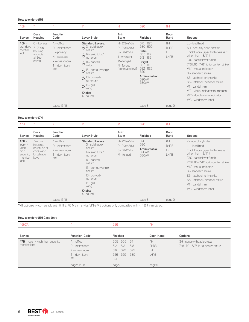#### **How to order: 45H**

| 45H                                    |                                                                          | R                                                                                                               | 14                                                                                                                                                                                                                                                                                         | Н                                                                                                      | 626                                                                                                                                      | <b>RH</b>                      |                                                                                                                                                                                                                                                                                                                                                                                               |
|----------------------------------------|--------------------------------------------------------------------------|-----------------------------------------------------------------------------------------------------------------|--------------------------------------------------------------------------------------------------------------------------------------------------------------------------------------------------------------------------------------------------------------------------------------------|--------------------------------------------------------------------------------------------------------|------------------------------------------------------------------------------------------------------------------------------------------|--------------------------------|-----------------------------------------------------------------------------------------------------------------------------------------------------------------------------------------------------------------------------------------------------------------------------------------------------------------------------------------------------------------------------------------------|
| Series                                 | Core<br>Housing                                                          | <b>Function</b><br>Code                                                                                         | Lever Style                                                                                                                                                                                                                                                                                | Trim<br>Style                                                                                          | <b>Finishes</b>                                                                                                                          | Door<br>Hand                   | Options                                                                                                                                                                                                                                                                                                                                                                                       |
| $45H -$<br>standard<br>mortise<br>lock | $0$ – keyless<br>$7 - 7$ -pin<br>housing<br>accepts<br>all Best<br>cores | $A$ – office<br>$D$ – storeroom<br>$L$ – privacy<br>$N -$ passage<br>$R - classroom$<br>$T$ – dormitory<br>etc. | <b>Standard Levers:</b><br>$\xi$ 3- solid tube/<br>return<br>$6^{12}$ -solid tube/<br>no return<br>$\mathbf{\mathcal{L}}$ 14 – curved<br>return<br>$\xi$ <sup>15</sup> – contour/angle<br>return<br>$\frac{1}{2}$ 16 - curved/<br>no return<br>$6^{17-gull}$<br>wing<br>Knobs:<br>4– round | H-23/4" dia.<br>R-23/4" dia.<br>S-31/2" dia.<br>J- wrought<br>M-forged<br>N-forged<br>(concealed cyl.) | 626<br>618<br>630 690<br>Satin<br>606 612<br>613<br>619<br><b>Bright</b><br>605 611<br>622 625<br>629<br>Antimicrobial<br>626AM<br>630AM | RH<br><b>RHRB</b><br>H<br>LHRB | LL-lead lined<br>SH- security head screws<br>Thick Door- (specify thickness if<br>other than $1-3/4"$<br>TAC-tactile lever/knob<br>7/8 LTC-7/8" lip-to-center strike<br>VIN'- visual indicator<br>SI-standard strike<br>S5-latchbolt-only strike<br>S6-latchbolt/deadbolt strike<br>VT-vandal trim<br>VIT'- visual indicator thumbturn<br>VIB'- double visual indicator<br>WS-windstorm label |
|                                        |                                                                          | pages 15-18                                                                                                     |                                                                                                                                                                                                                                                                                            |                                                                                                        | page 3                                                                                                                                   | page 9                         |                                                                                                                                                                                                                                                                                                                                                                                               |

### **How to order: 47H**

| 47H                                                              |                                                                         | R                                                                             | 4                                                                                                                                                                                                                    | M                                                        | 626                                           | <b>RH</b>                              |                                                                                                                                                                                                                                                                                                                   |
|------------------------------------------------------------------|-------------------------------------------------------------------------|-------------------------------------------------------------------------------|----------------------------------------------------------------------------------------------------------------------------------------------------------------------------------------------------------------------|----------------------------------------------------------|-----------------------------------------------|----------------------------------------|-------------------------------------------------------------------------------------------------------------------------------------------------------------------------------------------------------------------------------------------------------------------------------------------------------------------|
| Series                                                           | Core<br>Housing                                                         | <b>Function</b><br>Code                                                       | Lever Style                                                                                                                                                                                                          | Trim<br>Style                                            | <b>Finishes</b>                               | Door<br>Hand                           | Options                                                                                                                                                                                                                                                                                                           |
| $47H -$<br>lever/<br>knob<br>high<br>security<br>mortise<br>lock | $7-7$ pin<br>housing.<br>must use 5C<br>cores and<br>long blade<br>keys | $A$ – office<br>$D$ – storeroom<br>$R -$ classroom<br>$T$ – dormitory<br>etc. | <b>Standard Levers:</b><br>3- solid tube/<br>return<br>12-solid tube/<br>no return<br>14-curved<br>return<br>15-contour/angle<br>return<br>$16$ - curved/<br>no return<br>$17 -$ qull<br>wing<br>Knobs:<br>4 - round | H-23/4" dia.<br>R-23/4" dia.<br>S-31/2" dia.<br>M-forged | 626<br>630<br>Antimicrobial<br>626AM<br>630AM | RH<br><b>RHRB</b><br>LH<br><b>LHRB</b> | K-non UL cylinder<br>LL-lead lined<br>Thick Door- (specify thickness if<br>other than $1-3/4"$<br>TAC-tactile lever/knob<br>7/8 LTC-7/8" lip-to-center strike<br>VIN'- visual indicator<br>SI-standard strike<br>S5-latchbolt-only strike<br>S6-latchbolt/deadbolt strike<br>VT-vandal trim<br>WS-windstorm label |
|                                                                  |                                                                         | pages 15-18                                                                   |                                                                                                                                                                                                                      |                                                          | page 3                                        | page 9                                 |                                                                                                                                                                                                                                                                                                                   |

\*VIT option only compatible with H, R, S, J & M trim styles. VIN & VIB options only compatible with H, R & J trim styles.

#### **How to order: 45H Case Only**

| 45HCA                                            | R                                                                             | 626                                                                                       | <b>RH</b>                               |                                                               |
|--------------------------------------------------|-------------------------------------------------------------------------------|-------------------------------------------------------------------------------------------|-----------------------------------------|---------------------------------------------------------------|
| <b>Series</b>                                    | <b>Function Code</b>                                                          | <b>Finishes</b>                                                                           | Door Hand                               | Options                                                       |
| 47H - lever / knob high security<br>mortise lock | $A$ – office<br>$D$ – storeroom<br>$R - classroom$<br>$T$ – dormitory<br>etc. | 606<br>605<br>- 611<br>613<br>618<br>612<br>622<br>625<br>619<br>629<br>630<br>626<br>690 | RH<br><b>RHRB</b><br>LH.<br><b>LHRB</b> | SH- security head screws<br>7/8 LTC-7/8" lip-to-center strike |
|                                                  | pages 15-18                                                                   | page 3                                                                                    | page 9                                  |                                                               |

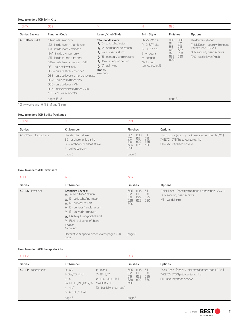#### **How to order: 40H Trim Kits**

| 40HTK                                            | OS <sub>2</sub>                                                                                                                                                                                                                                                                                                                                                                                                                          | $\frac{1}{4}$                                                                                                                                                                                                                                 | н                                                                                                        | 626                                                                                               |                                                                                                                                       |
|--------------------------------------------------|------------------------------------------------------------------------------------------------------------------------------------------------------------------------------------------------------------------------------------------------------------------------------------------------------------------------------------------------------------------------------------------------------------------------------------------|-----------------------------------------------------------------------------------------------------------------------------------------------------------------------------------------------------------------------------------------------|----------------------------------------------------------------------------------------------------------|---------------------------------------------------------------------------------------------------|---------------------------------------------------------------------------------------------------------------------------------------|
| Series Backset                                   | <b>Function Code</b>                                                                                                                                                                                                                                                                                                                                                                                                                     | Lever/Knob Style                                                                                                                                                                                                                              | Trim Style                                                                                               | <b>Finishes</b>                                                                                   | <b>Options</b>                                                                                                                        |
| 40HTK-trim kit                                   | ISI- inside lever only<br>IS2-inside lever x thumb turn<br>IS3- inside lever x cylinder<br>IS4*- inside cylinder only<br>IS5-inside thumb turn only<br>IS6-inside lever x cylinder x VIN<br>OSI- outside lever only<br>OS2-outside lever x cylinder<br>OS3- outside lever x emergency plate<br>OS4*- outside cylinder only<br>OS5-outside lever x VIN<br>OS6-inside lever x cylinder x VIN<br>NOTE: VIN- visual indicator<br>pages 15-18 | <b>Standard Levers:</b><br>点 3-solid tube/ return<br>$\frac{1}{\sqrt{2}}$ 12– solid tube/ no return<br>Å 14- curved return<br>点 15- contour/ angle return<br>占 16- curved/ no return<br>$\frac{1}{2}$ 17 - gull wing<br>Knobs:<br>$4 -$ round | H-2-3/4" dia.<br>R-2-3/4" dia.<br>S-3-1/2" dia.<br>J-wrought<br>M-forged<br>N-forged<br>(concealed cyl.) | 605<br>606<br>612<br>611<br>613<br>618<br>619<br>622<br>625<br>626<br>629<br>630<br>690<br>page 3 | D- double cylinder<br>Thick Door- (specify thickness<br>if other than $1-3/4$ "<br>SH- security head screws<br>TAC-tactile lever/knob |
| $\star \cap$ i i alim $\cap \cdot$ is in $\cdot$ |                                                                                                                                                                                                                                                                                                                                                                                                                                          |                                                                                                                                                                                                                                               |                                                                                                          |                                                                                                   |                                                                                                                                       |

\* Only works with H, R, S, M and N trim.

#### **How to order: 40H Strike Packages**

| 40HST                  |                                                                                                      | 626                                                                                      |                                                                                                                      |
|------------------------|------------------------------------------------------------------------------------------------------|------------------------------------------------------------------------------------------|----------------------------------------------------------------------------------------------------------------------|
| Series                 | <b>Kit Number</b>                                                                                    | <b>Finishes</b>                                                                          | Options                                                                                                              |
| 40HST – strike package | SI-standard strike<br>S5-latchbolt-only strike<br>S6-latchbolt/deadbolt strike<br>4– strike box only | 606<br>605.<br>611<br>618<br>613<br>612<br>622<br>625<br>619<br>630<br>629<br>626<br>690 | Thick Door- (specify thickness if other than 1-3/4")<br>7/8LTC-7/8" lip-to-center strike<br>SH- security head screws |
|                        | page 5                                                                                               | page 3                                                                                   |                                                                                                                      |

## **How to order: 40H lever sets**

| <b>Series</b><br><b>Kit Number</b>                                                                                                                                                                                                                                                                                                                  | <b>Finishes</b>                                                                             |                                                       |                                                                                                    |
|-----------------------------------------------------------------------------------------------------------------------------------------------------------------------------------------------------------------------------------------------------------------------------------------------------------------------------------------------------|---------------------------------------------------------------------------------------------|-------------------------------------------------------|----------------------------------------------------------------------------------------------------|
|                                                                                                                                                                                                                                                                                                                                                     |                                                                                             |                                                       | <b>Options</b>                                                                                     |
| 40HLS-lever set<br><b>Standard Levers:</b><br>$\frac{1}{2}$ , 3- solid tube/ return<br>$\frac{1}{\sqrt{2}}$ 12 – solid tube/ no return<br>点 14-curved return<br>$\frac{1}{2}$ , 15 – contour/ angle return<br>성 16- curved/ no return<br>$\frac{1}{2}$ , 17RH – gull wing-right hand<br>点 17LH- gull wing-left hand<br>Knobs:<br>4– round<br>page 5 | 605<br>612<br>619<br>626<br>690<br>Decorative & special order levers: pages 12-14<br>page 3 | 606<br>-611<br>613<br>618<br>622<br>625<br>629<br>630 | Thick Door- (specify thickness if other than 1-3/4")<br>SH- security head screws<br>VT-vandal trim |

**How to order: 40H Faceplate Kits**

| 40HFP               | 3                                                                                                                |                                                                                             | 626                             |                          |                          |                                                                                                                      |
|---------------------|------------------------------------------------------------------------------------------------------------------|---------------------------------------------------------------------------------------------|---------------------------------|--------------------------|--------------------------|----------------------------------------------------------------------------------------------------------------------|
| Series              | <b>Kit Number</b>                                                                                                |                                                                                             | <b>Finishes</b>                 |                          |                          | <b>Options</b>                                                                                                       |
| 40HFP-faceplate kit | $D - AB$<br>$I - BW$ , TD, H, HJ<br>$2 - A$<br>3 - AT, D, C, INL, NX, R, W<br>$4 - N$ , LT<br>5 - AD, RD, YD, WD | 6– blank<br>7 - BA, S, TA<br>8-B, G, IND, L, LB, T<br>9-CHB, RHB<br>10-blank (without logo) | 605<br>612<br>619<br>626<br>690 | 606<br>613<br>622<br>629 | 611<br>618<br>625<br>630 | Thick Door- (specify thickness if other than 1-3/4")<br>7/8LTC-7/8" lip-to-center strike<br>SH- security head screws |
|                     | page 5                                                                                                           |                                                                                             | page 3                          |                          |                          |                                                                                                                      |

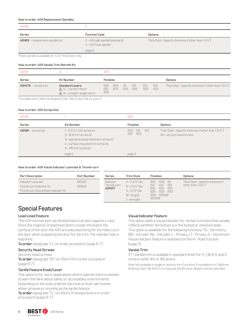### **How to order: 40H Replacement Spindles**

| 40HRS                                                    |                                                       |                                                      |
|----------------------------------------------------------|-------------------------------------------------------|------------------------------------------------------|
| <b>Series</b>                                            | <b>Function Code</b>                                  | <b>Options</b>                                       |
| 40HRS - replacement spindle kits                         | 2-40H split spindle (standard)<br>4–40H hook spindle* | Thick Door- (specify thickness if other than 1-3/4") |
|                                                          | page 5                                                |                                                      |
| *Heek opindle is available for 1.2 //." think door only. |                                                       |                                                      |

\*Hook spindle is available for 1 3/4" thick door only.

#### **How to order: 40H Vandal Trim Retrofit Kit**

| 40HSK                     | 14                                                                                                       | 626                |            |            |            |            |            |                                                      |
|---------------------------|----------------------------------------------------------------------------------------------------------|--------------------|------------|------------|------------|------------|------------|------------------------------------------------------|
| <b>Series</b>             | <b>Kit Number</b>                                                                                        | Finishes           |            |            |            |            |            | Options                                              |
| $40$ HVTK $-$ vandal trim | <b>Standard Levers:</b><br>$\frac{1}{2}$ , 14'-curved return<br>$\mathcal{L}$ 15 – contour/ angle return | 605.<br>619<br>690 | 606<br>622 | 611<br>625 | 612<br>626 | 613<br>629 | 618<br>630 | Thick Door– (specify thickness if other than 1-3/4") |

\*Complies with California Building Code Title 10 and Title 24, part 12

#### **How to order: 40H Screw Kits**

| 40HSK                 |                                                                                                                                                             | 626                          |                                                                                  |
|-----------------------|-------------------------------------------------------------------------------------------------------------------------------------------------------------|------------------------------|----------------------------------------------------------------------------------|
| <b>Series</b>         | <b>Kit Number</b>                                                                                                                                           | <b>Finishes</b>              | <b>Options</b>                                                                   |
| $40$ HSK – screw kits | 1-H, R.S, J trim screw kit<br>2-M, N trim screw kit<br>3- special purpose fasteners screw kit<br>4- surface mounted trim screw kit<br>5- VIN trim screw kit | 612<br>606<br>613<br>622 626 | Thick Door- (specify thickness if other than 1-3/4")<br>SH- security head screws |
|                       | page 5                                                                                                                                                      | page 3                       |                                                                                  |

#### **How to order: 40H Visual Indicator Laminate & Thumb-turn**

| <b>Part Description</b>                                                               | <b>Part Number</b> | <b>Series</b>                     | <b>Trim Style</b>                          | <b>Finishes</b>                                                                   | Options                                                  |
|---------------------------------------------------------------------------------------|--------------------|-----------------------------------|--------------------------------------------|-----------------------------------------------------------------------------------|----------------------------------------------------------|
| Indicator Laminate<br>Thumb-turn Indicator Kit<br>Thumb-turn Escutcheon Indicator Kit | 86329<br>86829     | Indicator<br>Thumb-turn<br>40HVIT | H-23/4" Dia<br>R-23/4"Dia.<br>S-31/2" Dia. | 605 606 611<br>618<br>613<br>612<br>619<br><b>622</b><br>625<br>626<br>629<br>630 | Thick Door- (specify thickness if<br>other than $l-3/4"$ |
|                                                                                       |                    |                                   | M-forged<br>J-wrought                      | 690 626AM<br>630AM                                                                |                                                          |

# **Special Features**

#### **Lead Lined Feature**

The 40H mortise lock can be lead lined to protect against x-rays. Since the majority of lead lined doors contain the lead in the surface of the door, the 40H provides lead lining for the holes cut in the door when preparing the door for the trim. The cylinder hole is lead lined.

**To order:** designate "LL" on order procedure (page 6-7)

#### **Security Head Screws**

Security head screws.

**To order:** designate "SH" on 45H/47H in order procedure (page 6-7).

#### **Tactile Feature Knob/Lever**

This option is for use in applications where special notice is needed to warn the blind about safety or accessibility environments. Depending on the style ordered, the knob or lever will receive either grooves or knurling as the tactile feature.

**To order:** designate "TL" on 45H/47H knobs/levers in order procedure (page 6-7).

### **Visual Indicator Feature**

This option adds a visual indicator for certain functions that visually reflects whether the lockset is in the locked or unlocked state. This option is available for the following functions: TD– Dormitory, IND– Intruder, INL– Intruder, L– Privacy, LT– Privacy, S– Storeroom. Visual indicator feature is standard on the H– Hotel function (page 2).

### **Vandal Trim**

VT–Vandal trim is available in standard finish for H, J, M, N, R, and S trims in either #14 or #15 levers.

Note: Not available in single or dummy trim functions. If compliance to California Building Code Title 19 & 24 is required, the #14 lever design must be specified.

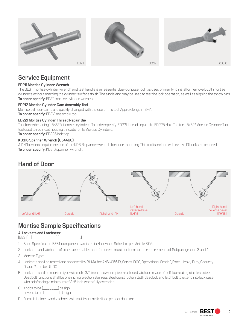

# **Service Equipment**

# **ED211 Mortise Cylinder Wrench**

The BEST mortise cylinder wrench and test handle is an essential dual-purpose tool. It is used primarily to install or remove BEST mortise cylinders without marring the cylinder surface finish. The single end may be used to test the lock operation, as well as aligning the throw pins. **To order specify:** ED211 mortise cylinder wrench.

# **ED212 Mortise Cylinder Cam Assembly Tool**

Mortise cylinder cams are quickly changed with the use of this tool. Approx. length 1-3/4".

**To order specify:** ED212 assembly tool.

### **ED221 Mortise Cylinder Thread Repair Die**

Tool for rethreading 1-5/32" diameter cylinders. To order specify: ED221 thread repair die. ED225 Hole Tap for 1-5/32" Mortise Cylinder Tap tool used to rethread housing threads for 1E Mortise Cylinders. **To order specify:** ED225 hole tap.

# **KD316 Spanner Wrench (C54466)**

All "H" locksets require the use of the KD316 spanner wrench for door mounting. This tool is include with every (10) locksets ordered. **To order specify:** KD316 spanner wrench.

# **Hand of Door**



# **Mortise Sample Specifications**

# **A. Locksets and Latchsets:**

[BEST] - [\_\_\_\_\_\_\_\_\_\_\_.] [\_\_\_\_\_\_\_\_\_\_.]

- 1. Base Specification: BEST components as listed in Hardware Schedule per Article 3.05.
- 2. Locksets and latchsets of other acceptable manufacturers must conform to the requirements of Subparagraphs 3 and 4.
- 3. Mortise Type:
- A. Locksets shall be tested and approved by BHMA for ANSI A156.13, Series 1000, Operational Grade 1, Extra-Heavy Duty, Security Grade 2 and be UL10C
- B. Locksets shall be mortise type with solid 3/4 inch throw one-piece radiused latchbolt made of self-lubricating stainless steel. Deadbolt functions shall be one inch projection stainless steel construction. Both deadbolt and latchbolt to extend into lock case with reinforcing a minimum of 3/8 inch when fully extended.
- C. Knobs to be [\_\_\_\_\_\_\_] design. Levers to be [\_\_\_\_\_\_\_] design.
- D. Furnish locksets and latchsets with sufficient strike lip to protect door trim.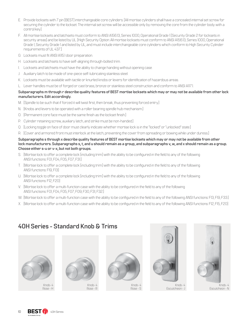- E. Provide locksets with 7 pin [BEST] interchangeable core cylinders. [All mortise cylinders shall have a concealed internal set screw for securing the cylinder to the lockset. The internal set screw will be accessible only by removing the core from the cylinder body with a control key]
- F. All mortise locksets and latchsets must conform to ANSI A156.13, Series 1000, Operational Grade 1 [Security Grade 2 for locksets in security areas] and be listed by UL. [High Security Option: All mortise locksets must conform to ANSI A156.13, Series 1000, Operational Grade 1, Security Grade 1 and listed by UL, and must include interchangeable core cylinders which conform to High Security Cylinder requirements of UL 437.]
- G. Locksets must fit ANSI A115.1 door preparation.
- H. Locksets and latchsets to have self-aligning through-bolted trim.
- I. Locksets and latchsets must have the ability to change handing without opening case.
- J. Auxiliary latch to be made of one-piece self-lubricating stainless steel.
- K. Locksets must be available with tactile or knurled knobs or levers for identification of hazardous areas.
- L. Lever handles must be of forged or cast brass, bronze or stainless steel construction and conform to ANSI A117.1.

# **Subparagraphs m through r describe quality features of BEST mortise locksets which may or may not be available from other lock manufacturers. Edit accordingly.**

- M. [Spindle to be such that if forced it will twist first, then break, thus preventing forced entry.]
- N. [Knobs and levers to be operated with a roller bearing spindle hub mechanism.]
- O. [Permanent core face must be the same finish as the lockset finish.]
- P. Cylinder retaining screw, auxiliary latch, and strike must be non-handed.]
- Q. [Locking toggle on face of door must clearly indicate whether mortise lock is in the "locked" or "unlocked" state.]
- R. [Cover and armored front must interlock at the latch, preventing the cover from spreading or bowing while under duress.]

# **Subparagraphs s through x describe quality features of BEST mortise locksets which may or may not be available from other lock manufacturers. Subparagraphs s, t, and u should remain as a group, and subparagraphs v, w, and x should remain as a group. Choose either s-u or v-x, but not both groups.**

- S. [Mortise lock to offer a complete lock (including trim) with the ability to be configured in the field to any of the following ANSI functions: F01, F04, F05, F07, F31.]
- T. [Mortise lock to offer a complete lock (including trim) with the ability to be configured in the field to any of the following ANSI functions: F19, F13]
- U. [Mortise lock to offer a complete lock (including trim) with the ability to be configured in the field to any of the following ANSI functions: F12, F20]
- V. [Mortise lock to offer a multi-function case with the ability to be configured in the field to any of the following ANSI functions: F01, F04, F05, F07, F09, F30, F31, F32.]
- W. [Mortise lock to offer a multi-function case with the ability to be configured in the field to any of the following ANSI functions: F13, F19, F33.]
- X. [Mortise lock to offer a multi-function case with the ability to be configured in the field to any of the following ANSI functions: F12, F15, F20]

# **40H Series - Standard Knob & Trims**



Knob- 4 Rose - H



Knob- 4 Rose - R



Knob- 4 Rose - S



Knob- 4 Escutcheon - J



Knob- 4 Escutcheon - N

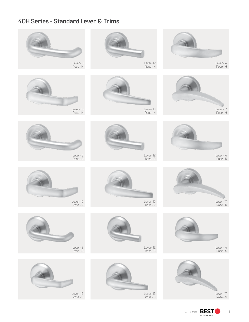# **40H Series - Standard Lever & Trims**













Lever- 15 Rose - S



Lever- 12 Rose - H



Lever- 16 Rose - H

Lever- 12 Rose - R

Lever- 16 Rose - R

















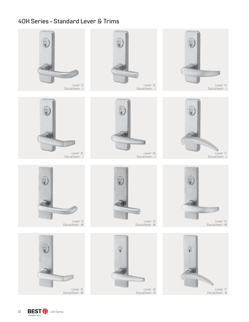# **40H Series - Standard Lever & Trims**



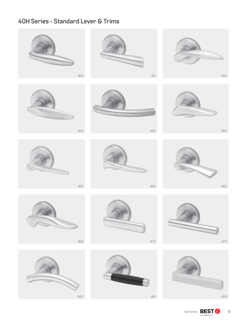# **40H Series - Standard Lever & Trims**

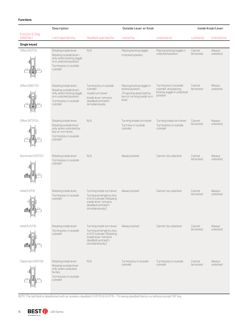## **Functions**

|                               | <b>Description</b>                                                                                                                               |                                                                                                                                                     | <b>Outside Lever or Knob</b>                                                                                     | Inside Knob/Lever                                                                        |                     |                    |
|-------------------------------|--------------------------------------------------------------------------------------------------------------------------------------------------|-----------------------------------------------------------------------------------------------------------------------------------------------------|------------------------------------------------------------------------------------------------------------------|------------------------------------------------------------------------------------------|---------------------|--------------------|
| Function & Diag<br>[ANSI No.] | Latch operated by                                                                                                                                | Deadbolt operated by                                                                                                                                | Locked by                                                                                                        | Unlocked by                                                                              | Locked by           | Unlocked by        |
| Single keyed                  |                                                                                                                                                  |                                                                                                                                                     |                                                                                                                  |                                                                                          |                     |                    |
| Office [A] FO4<br>Œ           | Rotating inside lever<br>Rotating outside lever-<br>only when locking toggle<br>is in unlocked position<br>Turning key in outside<br>cylinder.   | N/A                                                                                                                                                 | Placing locking toggle<br>in locked position                                                                     | Placing locking toggle in<br>unlocked position                                           | Cannot<br>be locked | Always<br>unlocked |
| Office [AB] F20               | Rotating inside lever,<br>Rotating outside lever-<br>only when locking toggle<br>is in unlocked position,<br>Turning key in outside<br>cvlinder. | Turning key in outside<br>cylinder<br>Inside turn lever<br>Inside lever retracts<br>deadbolt and latch<br>simultaneously.                           | Placing locking toggle in<br>locked position,<br>Projecting dead-bolt by<br>key or turning inside turn<br>lever. | Turning key in outside<br>cylinder and placing<br>locking toggle in unlocked<br>position | Cannot<br>be locked | Always<br>unlocked |
| Office [AT] F04               | Rotating inside lever,<br>Rotating outside lever<br>only when unlocked by<br>key or turn lever.<br>Turning key in outside<br>cylinder.           | N/A                                                                                                                                                 | Turning inside turn lever<br>Turn key in outside<br>cylinder.                                                    | Turning inside turn lever<br>Turning key in outside<br>cylinder                          | Cannot<br>be locked | Always<br>unlocked |
| Storeroom [D] F07             | Rotating inside lever<br>Turning key in outside<br>cylinder.                                                                                     | N/A                                                                                                                                                 | Always locked                                                                                                    | Cannot be unlocked                                                                       | Cannot<br>be locked | Always<br>unlocked |
| Hotel (H) F15                 | Rotating inside lever,<br>Turning key in outside<br>cylinder.                                                                                    | Turning inside turn lever<br>Turning emergency key<br>in O/S cylinder. (Rotating<br>inside lever retracts<br>deadbolt and latch<br>simultaneously.) | Always locked                                                                                                    | Cannot be unlocked                                                                       | Cannot<br>be locked | Always<br>unlocked |
| Hotel (HJ) F15                | Rotating inside lever<br>Turning key in outside<br>cylinder.                                                                                     | Turning inside turn lever<br>Turning emergency key<br>in O/S cylinder. (Rotating<br>inside lever retracts<br>deadbolt and latch<br>simultaneously.) | Always locked                                                                                                    | Cannot be unlocked                                                                       | Cannot<br>be locked | Always<br>unlocked |
| Classroom (R) F05             | Rotating inside lever<br>Rotating outside lever<br>only when unlocked<br>by key<br>Turning key in outside<br>cylinder.                           | N/A                                                                                                                                                 | Turning key in outside<br>cylinder                                                                               | Turning key in outside<br>cylinder                                                       | Cannot<br>be locked | Always<br>unlocked |

NOTE: The latchbolt is deadlocked with an auxiliary deadlatch. (H) F15 & (HJ) F15 - Throwing deadbolt blocks out all keys except "ER" key.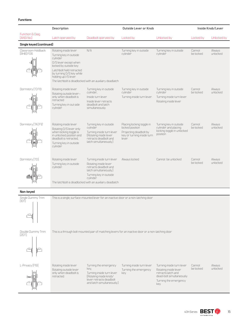|                                                           | <b>Description</b>                                                                                                                                                                             |                                                                                                                                                                                                         | Outside Lever or Knob                                                                                         | Inside Knob/Lever                                                                         |                     |                    |
|-----------------------------------------------------------|------------------------------------------------------------------------------------------------------------------------------------------------------------------------------------------------|---------------------------------------------------------------------------------------------------------------------------------------------------------------------------------------------------------|---------------------------------------------------------------------------------------------------------------|-------------------------------------------------------------------------------------------|---------------------|--------------------|
| Function & Diag.<br>[ANSI No.]                            | Latch operated by                                                                                                                                                                              | Deadbolt operated by                                                                                                                                                                                    | Locked by                                                                                                     | Unlocked by                                                                               | Locked by           | Unlocked by        |
| Single keyed (continued)                                  |                                                                                                                                                                                                |                                                                                                                                                                                                         |                                                                                                               |                                                                                           |                     |                    |
| Classroom Holdback<br>[RHB]F06<br>$\overline{\cdot}$<br>ଶ | Rotating inside lever<br>Turning key in outside<br>cylinder<br>O/S lever except when<br>locked by outside key<br>Latchbolt held retracted<br>by turning O/S key while<br>holding up I/S lever. | N/A<br>The latchbolt is deadlocked with an auxiliary deadlatch                                                                                                                                          | Turning key in outside<br>cvlinder                                                                            | Turning key in outside<br>cylinder                                                        | Cannot<br>be locked | Always<br>unlocked |
| Dormitory [T] F13                                         | Rotating inside lever<br>Rotating outside lever-<br>only when deadbolt is<br>retracted<br>Turning key in out side<br>cylinder.                                                                 | Turning key in outside<br>cylinder,<br>Inside turn lever<br>Inside lever retracts<br>deadbolt and latch<br>simultaneously.                                                                              | Turning key in outside<br>cylinder<br>Turning inside turn lever.                                              | Turning key in outside<br>cylinder<br>Turning inside turn lever.<br>Rotating inside lever | Cannot<br>be locked | Always<br>unlocked |
| Dormitory (TA) F12                                        | Rotating inside lever<br>Rotating O/S lever only<br>when locking toggle is<br>in unlocked position and<br>deadbolt is retracted.<br>Turning key in outside<br>cvlinder                         | Turning key in outside<br>cylinder<br>Turning inside turn lever.<br>[Rotating inside lever]<br>retracts deadbolt and<br>latch simultaneously.)                                                          | Placing locking toggle in<br>locked position<br>Projecting deadbolt by<br>key or turning inside turn<br>leven | Turning key in outside<br>cylinder and placing<br>locking toggle in unlocked<br>position  | Cannot<br>be locked | Always<br>unlocked |
| Dormitory (TD)                                            | Rotating inside lever<br>Turning key in outside<br>cylinder.                                                                                                                                   | Turning inside turn lever<br>Rotating inside lever<br>retracts deadbolt and<br>latch simultaneously.)<br>Turning key in outside<br>cylinder.<br>The latchbolt is deadlocked with an auxiliary deadlatch | Always locked                                                                                                 | Cannot be unlocked                                                                        | Cannot<br>be locked | Always<br>unlocked |

#### **Non-keyed**



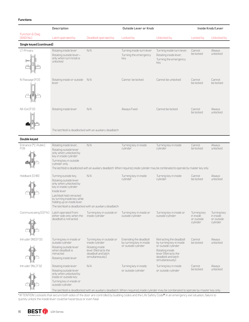## **Functions**

|                                | <b>Description</b>                                                                                                                                                                                          |                                                                                                                                  | <b>Outside Lever or Knob</b>                                              | Inside Knob/Lever                                                                                                                                                                        |                                                    |                                                    |
|--------------------------------|-------------------------------------------------------------------------------------------------------------------------------------------------------------------------------------------------------------|----------------------------------------------------------------------------------------------------------------------------------|---------------------------------------------------------------------------|------------------------------------------------------------------------------------------------------------------------------------------------------------------------------------------|----------------------------------------------------|----------------------------------------------------|
| Function & Diag.<br>[ANSI No.] | Latch operated by                                                                                                                                                                                           | Deadbolt operated by                                                                                                             | Locked by                                                                 | Unlocked by                                                                                                                                                                              | Locked by                                          | Unlocked by                                        |
| Single keyed (continued)       |                                                                                                                                                                                                             |                                                                                                                                  |                                                                           |                                                                                                                                                                                          |                                                    |                                                    |
| LT-Privacy                     | Rotating inside lever<br>Rotating outside lever-<br>only when turn knob is<br>unlocked                                                                                                                      | N/A                                                                                                                              | Turning inside turn lever<br>Turning the emergency<br>key.                | Turning inside turn lever.<br>Rotating inside lever,<br>Turning the emergency<br>key.                                                                                                    | Cannot<br>be locked                                | Always<br>unlocked                                 |
| N-Passage [FOI]                | Rotating inside or outside N/A<br>lever                                                                                                                                                                     |                                                                                                                                  | Cannot be locked                                                          | Cannot be unlocked                                                                                                                                                                       | Cannot<br>be locked                                | Cannot<br>be locked                                |
| NX-Exit [F31]                  | Rotating inside lever                                                                                                                                                                                       | N/A<br>The latchbolt is deadlocked with an auxiliary deadlatch                                                                   | Always Fixed                                                              | Cannot be locked                                                                                                                                                                         | Cannot<br>be locked                                | Always<br>unlocked                                 |
| Double keyed                   |                                                                                                                                                                                                             |                                                                                                                                  |                                                                           |                                                                                                                                                                                          |                                                    |                                                    |
|                                |                                                                                                                                                                                                             | N/A                                                                                                                              |                                                                           |                                                                                                                                                                                          |                                                    |                                                    |
| Entrance (*C-Public)<br>F09    | Rotating inside lever,<br>Rotating outside lever<br>only when unlocked by<br>key in inside cylinder<br>Turning key in outside<br>cylinder only.                                                             |                                                                                                                                  | Turning key in inside<br>cylinder                                         | Turning key in inside<br>cylinder<br>The latchbolt is deadlocked with an auxiliary deadlatch. When required, inside cylinder may be combinated to operate by master key only             | Cannot<br>be locked                                | Always<br>unlocked                                 |
| Holdback (CHB)                 | Turning outside key,<br>Rotating outside lever<br>only when unlocked by<br>key in inside cylinder<br>Inside lever<br>Latchbolt held retracted<br>by turning inside key while<br>holding up on inside lever. | N/A<br>The latchbolt is deadlocked with an auxiliary deadlatch                                                                   | Turning key in inside<br>cylinder                                         | Turning key in inside<br>cylinder                                                                                                                                                        | Cannot<br>be locked                                | Always<br>unlocked                                 |
| Communicating [G] FI4]         | Latch operated from<br>either side only when the<br>deadbolt is retracted.                                                                                                                                  | Turning key in outside or<br>inside cylinder                                                                                     | Turning key in inside or<br>outside cylinder                              | Turning key in inside or<br>outside cylinder                                                                                                                                             | Turning key<br>in inside<br>or outside<br>cylinder | Turning key<br>in inside<br>or outside<br>cylinder |
| Intruder (IND) F33             | Turning key in inside or<br>outside cylinder<br>Rotating outside lever<br>when deadbolt is<br>retracted<br>Rotating inside lever.                                                                           | Turning key in outside or<br>inside cylinder<br>Rotating inside<br>lever [Retracts the<br>deadbolt and latch<br>simultaneously). | Extending the deadbolt<br>by turning key in inside<br>or outside cylinder | Retracting the deadbolt<br>by turning key in inside<br>or outside cylinder<br>Rotating inside<br>lever [Retracts the<br>deadbolt and latch<br>simultaneously).                           | Cannot<br>be locked                                | Always<br>unlocked                                 |
| Intruder (INL) F32             | Rotating inside lever<br>Rotating outside lever<br>only when unlocked by<br>inside or outside key<br>Turning key in inside or<br>outside cylinder.                                                          | N/A                                                                                                                              | Turning key in inside<br>or outside cylinder                              | Turning key in inside<br>or outside cylinder<br>The latchbolt is deadlocked with an auxiliary deadlatch. When required, inside cylinder may be combinated to operate by master key only. | Cannot<br>be locked                                | Always<br>unlocked                                 |

\*ATTENTION: Locksets that secure both sides of the door are controlled by building codes and the Life Safety Code®. In an emergency exit situation, failure to quickly unlock the inside lever could be hazardous or even fatal.

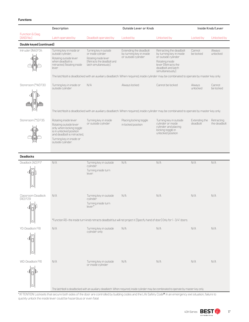|                                               | Description                                                                                                                                                                           |                                                                                                                               | Outside Lever or Knob                                                                                                       | Inside Knob/Lever                                                                                                                                              |                           |                            |
|-----------------------------------------------|---------------------------------------------------------------------------------------------------------------------------------------------------------------------------------------|-------------------------------------------------------------------------------------------------------------------------------|-----------------------------------------------------------------------------------------------------------------------------|----------------------------------------------------------------------------------------------------------------------------------------------------------------|---------------------------|----------------------------|
| Function & Diag.<br>[ANSI No.]                | Latch operated by                                                                                                                                                                     | Deadbolt operated by                                                                                                          | Locked by                                                                                                                   | Unlocked by                                                                                                                                                    | Locked by                 | Unlocked by                |
| Double keyed (continued)                      |                                                                                                                                                                                       |                                                                                                                               |                                                                                                                             |                                                                                                                                                                |                           |                            |
| Intruder (INA) F34<br>ત                       | Turning key in inside or<br>outside cylinder.<br>Rotating outside lever<br>when deadbolt is<br>retracted, Rotating inside<br>lever                                                    | Turning key in outside<br>or inside cylinder<br>Rotating inside lever<br>[Retracts the deadbolt and<br>latch simultaneously). | Extending the deadbolt<br>by turning key in inside<br>or outside cylinder                                                   | Retracting the deadbolt<br>by turning key in inside<br>or outside cylinder<br>Rotating inside<br>lever [Retracts the<br>deadbolt and latch<br>simultaneously). | Cannot<br>be locked       | Always<br>unlocked         |
|                                               |                                                                                                                                                                                       |                                                                                                                               |                                                                                                                             | The latchbolt is deadlocked with an auxiliary deadlatch. When required, inside cylinder may be combinated to operate by master key only.                       |                           |                            |
| Storeroom [*W] F30                            | Turning key in inside or<br>outside cylinder                                                                                                                                          | N/A                                                                                                                           | Always locked                                                                                                               | Cannot be locked                                                                                                                                               | Always<br>unlocked        | Cannot<br>be locked        |
|                                               |                                                                                                                                                                                       |                                                                                                                               |                                                                                                                             | The latchbolt is deadlocked with an auxiliary deadlatch. When required, inside cylinder may be combinated to operate by master key only.                       |                           |                            |
| Storeroom [*S] F35                            | Rotating inside lever<br>Rotating outside lever<br>only when locking toggle<br>is in unlocked position<br>and deadbolt is retracted.<br>Turning key in inside or<br>outside cylinder. | Turning key in inside<br>or outside cylinder                                                                                  | Placing locking toggle<br>in locked position                                                                                | Turning key in outside<br>cylinder or inside<br>cylinder and placing<br>locking toggle in<br>unlocked position                                                 | Extending the<br>deadbolt | Retracting<br>the deadbolt |
| <b>Deadlocks</b>                              |                                                                                                                                                                                       |                                                                                                                               |                                                                                                                             |                                                                                                                                                                |                           |                            |
| Deadlock (AD) F17                             | N/A                                                                                                                                                                                   | Turning key in outside<br>cylinder<br>Turning inside turn<br>lever.                                                           | N/A                                                                                                                         | N/A                                                                                                                                                            | N/A                       | N/A                        |
| Classroom Deadlock<br>$[RD]$ $F29$<br>⊺∙<br>d | N/A                                                                                                                                                                                   | Turning key in outside<br>cylinder<br>Turning inside turn<br>lever.*                                                          | N/A                                                                                                                         | N/A                                                                                                                                                            | N/A                       | N/A                        |
|                                               |                                                                                                                                                                                       |                                                                                                                               | *Function RD-the inside turn knob retracts deadbolt but will not project it. (Specify hand of door.) Only for 1-3/4" doors. |                                                                                                                                                                |                           |                            |
| YD-Deadlock F18                               | N/A                                                                                                                                                                                   | Turning key in outside<br>cylinder only                                                                                       | N/A                                                                                                                         | N/A                                                                                                                                                            | N/A                       | N/A                        |
| WD-Deadlock F16                               | N/A                                                                                                                                                                                   | Turning key in outside<br>or inside cylinder                                                                                  | N/A                                                                                                                         | N/A<br>The latchbolt is deadlocked with an auxiliary deadlatch. When required, inside cylinder may be combinated to operate by master key only.                | N/A                       | N/A                        |
|                                               | *ATTENTION: Locksets that secure both sides of the door are controlled by building codes and the Life Safety Code® In an emergency exit situation failure to                          |                                                                                                                               |                                                                                                                             |                                                                                                                                                                |                           |                            |

\*ATTENTION: Locksets that secure both sides of the door are controlled by building codes and the Life Safety Code®. In an emergency exit situation, failure to quickly unlock the inside lever could be hazardous or even fatal.

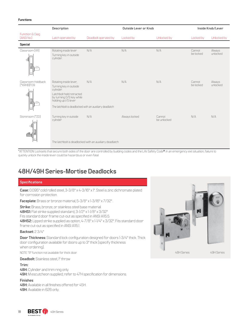#### **Functions**

|                                                                   | <b>Description</b>                                                                                                                                                                                       |                                                                | Outside Lever or Knob | Inside Knob/Lever     |                     |                    |
|-------------------------------------------------------------------|----------------------------------------------------------------------------------------------------------------------------------------------------------------------------------------------------------|----------------------------------------------------------------|-----------------------|-----------------------|---------------------|--------------------|
| Function & Diag.<br>[ANSIN <sub>o.</sub> ]                        | Latch operated by                                                                                                                                                                                        | Deadbolt operated by                                           | Locked by             | Unlocked by           | Locked by           | Unlocked by        |
| <b>Special</b>                                                    |                                                                                                                                                                                                          |                                                                |                       |                       |                     |                    |
| Classroom (XR)<br>$\mathbb{C}[\left.\rule{0pt}{10pt}\right]$<br>同 | Rotating inside lever<br>Turning key in outside<br>cylinder.                                                                                                                                             | N/A                                                            | N/A                   | N/A                   | Cannot<br>be locked | Always<br>unlocked |
| Classroom Holdback<br>$(*XRHB)F09$<br>ᢛ<br>d<br>la                | Rotating inside lever,<br>Turning key in outside<br>cylinder.<br>Latchbolt held retracted<br>by turning O/S key while<br>holding up I/S lever<br>The latchbolt is deadlocked with an auxiliary deadlatch | N/A                                                            | N/A                   | N/A                   | Cannot<br>be locked | Always<br>unlocked |
| Storeroom [*ZD]<br>ு<br>d<br>$\bullet$                            | Turning key in outside<br>cylinder                                                                                                                                                                       | N/A<br>The latchbolt is deadlocked with an auxiliary deadlatch | Always locked         | Cannot<br>be unlocked | N/A                 | N/A                |
|                                                                   |                                                                                                                                                                                                          |                                                                |                       |                       |                     |                    |

\*ATTENTION: Locksets that secure both sides of the door are controlled by building codes and the Life Safety Code®. In an emergency exit situation, failure to quickly unlock the inside lever could be hazardous or even fatal.

# **48H/49H Series-Mortise Deadlocks**

### **Specifications**

**Case:** 0.095" cold rolled steel, 3-3/8" x 4-3/16" x 1". Steel is zinc dichromate plated for corrosion protection.

**Faceplate:** Brass or bronze material, 5-3/8" x 1-3/16" x 7/32" .

**Strike:** Brass, bronze, or stainless steel base material. **48HS1:** Flat strike supplied standard, 3-1/2" x 1-1/8" x 3/32" Fits standard door frame cut-out as specified in ANSI A115.5. **48HS2:** Lipped strike supplied as option, 4-7/8" x 1-1/4" x 3/32". Fits standard door frame cut-out as specified in ANSI A115.1.

### **Backset:** 2 3/4"

**Door Thickness:** Standard lock configuration designed for doors 1-3/4" thick. Thick door configuration available for doors up to 3" thick (specify thickness when ordering).

NOTE: "R" function not available for thick door.

**Deadbolt:** Stainless steel, I" throw

#### **Trim:**

**48H:** Cylinder and trim ring only. **49H:** M escutcheon supplied; refer to 47H specification for dimensions.

## **Finishes**:

**48H:** Available in all finishes offered for 45H. **49H:** Available in 626 only.

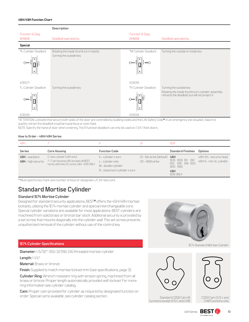### **48H/49H Function Chart**



\*ATTENTION: Locksets that secure both sides of the door are controlled by building codes and the Life Safety Code®. In an emergency exit situation, failure to quickly retract the deadbolt could be hazardous or even fatal.

NOTE: Specify the hand of door when ordering. The R function deadlock can only be used on 1 3/4" thick doors.

### **How to Order - 48H/49H Series**

| 48H                                |                                                                                                               |                                                            |                                            | 626                                                     |                                                   |
|------------------------------------|---------------------------------------------------------------------------------------------------------------|------------------------------------------------------------|--------------------------------------------|---------------------------------------------------------|---------------------------------------------------|
| <b>Series</b>                      | <b>Core Housing</b>                                                                                           | <b>Function Code</b>                                       |                                            | <b>Standard Finishes</b>                                | Options                                           |
| 48H-standard<br>49H- high security | 0-less cylinder [48H only]<br>7-7-pin housing 48H accepts all BEST<br>cores; 49H only 5C cores; 49H- 626 ONLY | K-cylinder x turn<br>L-cylinder only<br>M- double cylinder | SI-flat strike (default)<br>S2-ANSI strike | 48H<br>605 606 611 612<br>613<br>618 619 625<br>626 690 | 48H: SH- security head<br>49H: K- non UL cylinder |
|                                    |                                                                                                               | R-classroom cylinder x turn                                |                                            | 49H<br>626 ONLY                                         |                                                   |

\*\*Must specify key mark and number of keys or designate L/C for less core.

# **Standard Mortise Cylinder**

### **Standard 1E74 Mortise Cylinder**

Designed for standard security applications, BEST® offers the 45H/48H mortise locksets, utilizing the 1E74 mortise cylinder and special interchangeable core. Special cylinder variations are available for most applications. BEST cylinders are machined from solid brass or bronze bar stock. Additional security is provided by a set screw that mounts diagonally into the cylinder wall. This set screw prevents unauthorized removal of the cylinder without use of the control key.



#### **1E74 Cylinder Specifications**

**Diameter:** 1-5/32". 1.150-32 (NS-2A) threaded mortise cylinder.

**Length:** 1-1/4"

**Material:** Brass or bronze.

**Finish:** Supplied to match mortise lockset trim (see specifications, page 3).

**Cylinder Ring:** Wrench resistant ring with tension spring, machined from all brass or bronze. Proper length automatically provided with lockset. For more ring information see cylinder catalog.

**Cam:** Proper cam provided for cylinder as required by designated function on order. Special cams available; see cylinder catalog section.



Standard C258 Cam All functions except 0/S C and CHB



C293 Cam O/S c and CHB Functions only

 $40H$  Series **BEST**